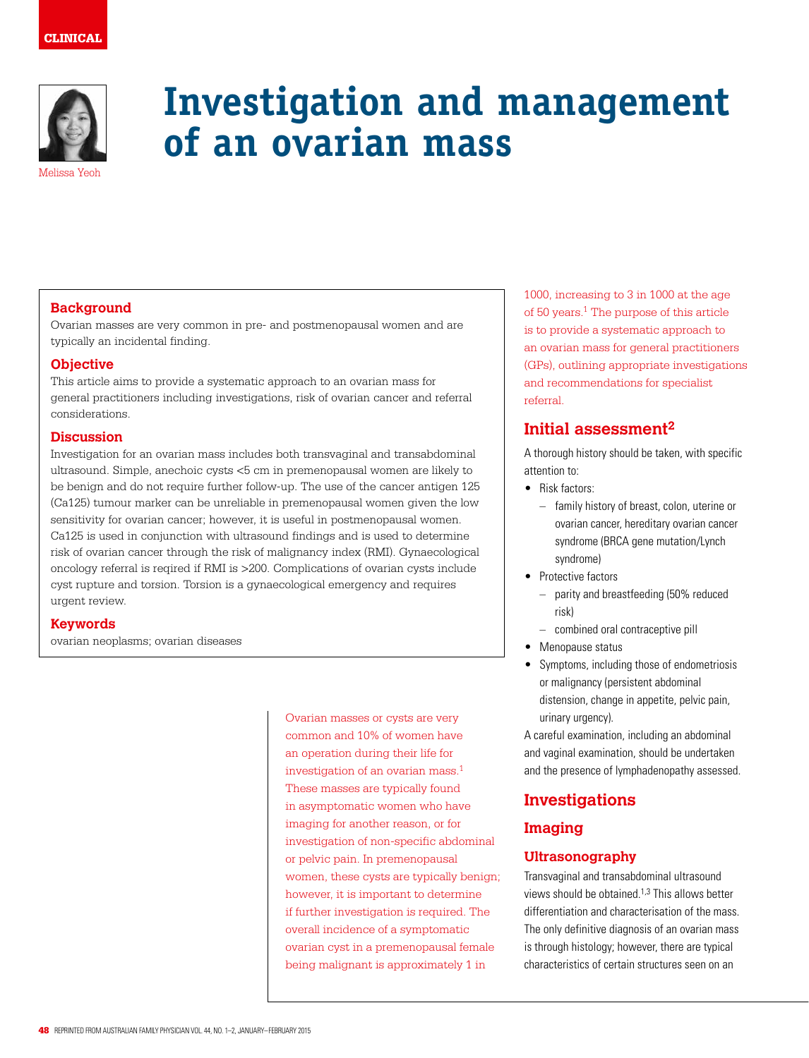## **CLINICAL**



# **Investigation and management of an ovarian mass**

#### **Background**

Ovarian masses are very common in pre- and postmenopausal women and are typically an incidental finding.

#### **Objective**

This article aims to provide a systematic approach to an ovarian mass for general practitioners including investigations, risk of ovarian cancer and referral considerations.

## **Discussion**

Investigation for an ovarian mass includes both transvaginal and transabdominal ultrasound. Simple, anechoic cysts <5 cm in premenopausal women are likely to be benign and do not require further follow-up. The use of the cancer antigen 125 (Ca125) tumour marker can be unreliable in premenopausal women given the low sensitivity for ovarian cancer; however, it is useful in postmenopausal women. Ca125 is used in conjunction with ultrasound findings and is used to determine risk of ovarian cancer through the risk of malignancy index (RMI). Gynaecological oncology referral is reqired if RMI is >200. Complications of ovarian cysts include cyst rupture and torsion. Torsion is a gynaecological emergency and requires urgent review.

#### **Keywords**

ovarian neoplasms; ovarian diseases

Ovarian masses or cysts are very common and 10% of women have an operation during their life for investigation of an ovarian mass.1 These masses are typically found in asymptomatic women who have imaging for another reason, or for investigation of non-specific abdominal or pelvic pain. In premenopausal women, these cysts are typically benign; however, it is important to determine if further investigation is required. The overall incidence of a symptomatic ovarian cyst in a premenopausal female being malignant is approximately 1 in

1000, increasing to 3 in 1000 at the age of 50 years.1 The purpose of this article is to provide a systematic approach to an ovarian mass for general practitioners (GPs), outlining appropriate investigations and recommendations for specialist referral.

# **Initial assessment2**

A thorough history should be taken, with specific attention to:

- Risk factors:
	- family history of breast, colon, uterine or ovarian cancer, hereditary ovarian cancer syndrome (BRCA gene mutation/Lynch syndrome)
- Protective factors
	- parity and breastfeeding (50% reduced risk)
	- combined oral contraceptive pill
- Menopause status
- Symptoms, including those of endometriosis or malignancy (persistent abdominal distension, change in appetite, pelvic pain, urinary urgency).

A careful examination, including an abdominal and vaginal examination, should be undertaken and the presence of lymphadenopathy assessed.

# **Investigations**

## **Imaging**

## **Ultrasonography**

Transvaginal and transabdominal ultrasound views should be obtained.1,3 This allows better differentiation and characterisation of the mass. The only definitive diagnosis of an ovarian mass is through histology; however, there are typical characteristics of certain structures seen on an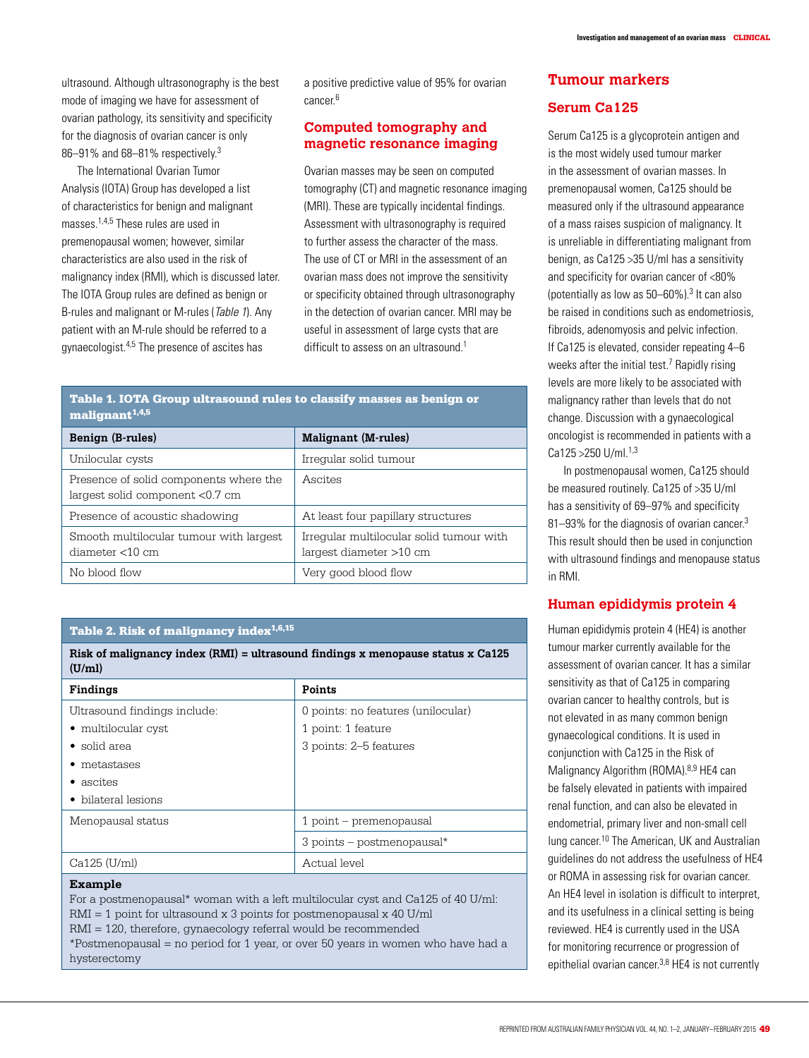ultrasound. Although ultrasonography is the best mode of imaging we have for assessment of ovarian pathology, its sensitivity and specificity for the diagnosis of ovarian cancer is only 86–91% and 68–81% respectively.3

The International Ovarian Tumor Analysis (IOTA) Group has developed a list of characteristics for benign and malignant masses.1,4,5 These rules are used in premenopausal women; however, similar characteristics are also used in the risk of malignancy index (RMI), which is discussed later. The IOTA Group rules are defined as benign or B-rules and malignant or M-rules (Table 1). Any patient with an M-rule should be referred to a gynaecologist.4,5 The presence of ascites has

a positive predictive value of 95% for ovarian cancer<sup>6</sup>

### **Computed tomography and magnetic resonance imaging**

Ovarian masses may be seen on computed tomography (CT) and magnetic resonance imaging (MRI). These are typically incidental findings. Assessment with ultrasonography is required to further assess the character of the mass. The use of CT or MRI in the assessment of an ovarian mass does not improve the sensitivity or specificity obtained through ultrasonography in the detection of ovarian cancer. MRI may be useful in assessment of large cysts that are difficult to assess on an ultrasound.<sup>1</sup>

#### Table 1. IOTA Group ultrasound rules to classify masses as benign or  $malignant^{1,4,5}$

| Benign (B-rules)                                                          | <b>Malignant (M-rules)</b>                                          |
|---------------------------------------------------------------------------|---------------------------------------------------------------------|
| Unilocular cysts                                                          | Irregular solid tumour                                              |
| Presence of solid components where the<br>largest solid component <0.7 cm | Ascites                                                             |
| Presence of acoustic shadowing                                            | At least four papillary structures                                  |
| Smooth multilocular tumour with largest<br>diameter $<$ 10 cm             | Irregular multilocular solid tumour with<br>largest diameter >10 cm |
| No blood flow                                                             | Very good blood flow                                                |

#### Table 2. Risk of malignancy index<sup>1,6,15</sup>

**Risk of malignancy index (RMI) = ultrasound findings x menopause status x Ca125 (U/ml)**

| Findings                     | Points                             |
|------------------------------|------------------------------------|
| Ultrasound findings include: | 0 points: no features (unilocular) |
| • multilocular cyst          | 1 point: 1 feature                 |
| $\bullet$ solid area         | 3 points: 2–5 features             |
| • metastases                 |                                    |
| • ascites                    |                                    |
| • bilateral lesions          |                                    |
| Menopausal status            | 1 point - premenopausal            |
|                              | $3$ points - postmenopausal*       |
| Ca125 (U/ml)                 | Actual level                       |

#### **Example**

For a postmenopausal\* woman with a left multilocular cyst and Ca125 of 40 U/ml: RMI = 1 point for ultrasound x 3 points for postmenopausal x 40 U/ml RMI = 120, therefore, gynaecology referral would be recommended \*Postmenopausal = no period for 1 year, or over 50 years in women who have had a hysterectomy

## **Tumour markers**

### **Serum Ca125**

Serum Ca125 is a glycoprotein antigen and is the most widely used tumour marker in the assessment of ovarian masses. In premenopausal women, Ca125 should be measured only if the ultrasound appearance of a mass raises suspicion of malignancy. It is unreliable in differentiating malignant from benign, as Ca125 >35 U/ml has a sensitivity and specificity for ovarian cancer of <80% (potentially as low as 50–60%).<sup>3</sup> It can also be raised in conditions such as endometriosis, fibroids, adenomyosis and pelvic infection. If Ca125 is elevated, consider repeating 4–6 weeks after the initial test.<sup>7</sup> Rapidly rising levels are more likely to be associated with malignancy rather than levels that do not change. Discussion with a gynaecological oncologist is recommended in patients with a Ca125 >250 U/ml.1,3

In postmenopausal women, Ca125 should be measured routinely. Ca125 of >35 U/ml has a sensitivity of 69–97% and specificity 81-93% for the diagnosis of ovarian cancer.<sup>3</sup> This result should then be used in conjunction with ultrasound findings and menopause status in RMI.

#### **Human epididymis protein 4**

Human epididymis protein 4 (HE4) is another tumour marker currently available for the assessment of ovarian cancer. It has a similar sensitivity as that of Ca125 in comparing ovarian cancer to healthy controls, but is not elevated in as many common benign gynaecological conditions. It is used in conjunction with Ca125 in the Risk of Malignancy Algorithm (ROMA).<sup>8,9</sup> HE4 can be falsely elevated in patients with impaired renal function, and can also be elevated in endometrial, primary liver and non-small cell lung cancer.10 The American, UK and Australian guidelines do not address the usefulness of HE4 or ROMA in assessing risk for ovarian cancer. An HE4 level in isolation is difficult to interpret, and its usefulness in a clinical setting is being reviewed. HE4 is currently used in the USA for monitoring recurrence or progression of epithelial ovarian cancer.<sup>3,8</sup> HE4 is not currently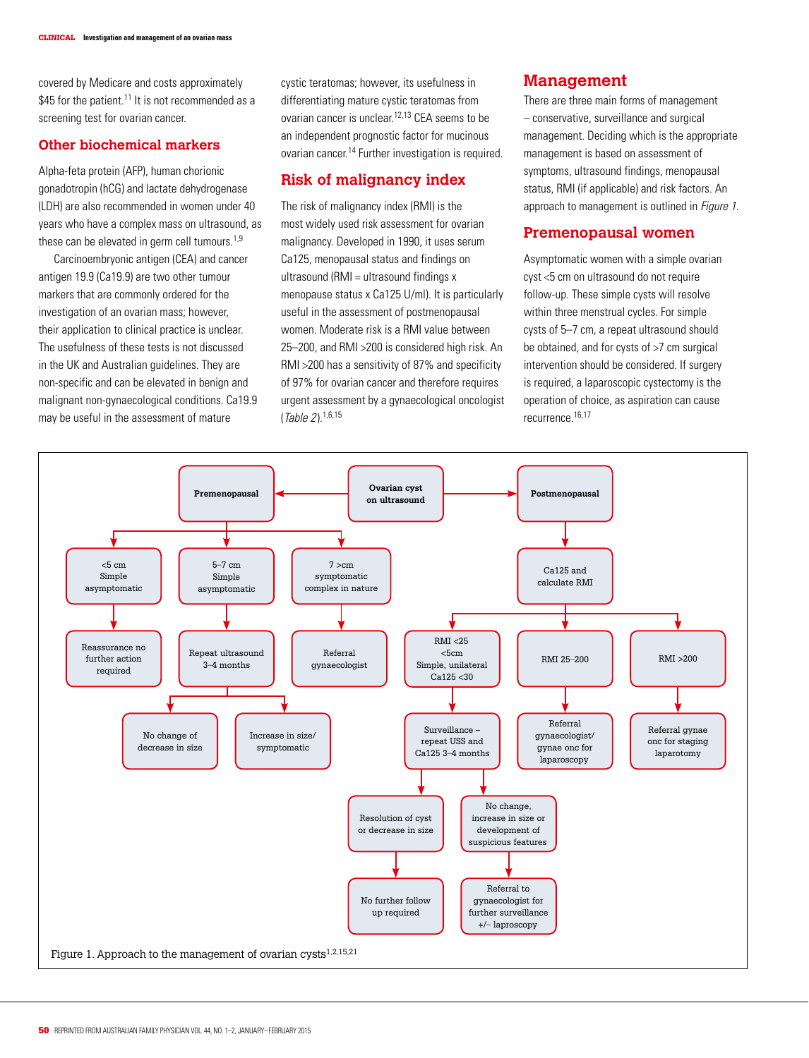covered by Medicare and costs approximately  $$45$  for the patient.<sup>11</sup> It is not recommended as a screening test for ovarian cancer.

#### **Other biochemical markers**

Alpha-feta protein (AFP), human chorionic gonadotropin (hCG) and lactate dehydrogenase (LDH) are also recommended in women under 40 years who have a complex mass on ultrasound, as these can be elevated in germ cell tumours.<sup>1,9</sup>

Carcinoembryonic antigen (CEA) and cancer antigen 19.9 (Ca19.9) are two other tumour markers that are commonly ordered for the investigation of an ovarian mass; however, their application to clinical practice is unclear. The usefulness of these tests is not discussed in the UK and Australian guidelines. They are non-specific and can be elevated in benign and malignant non-gynaecological conditions. Ca19.9 may be useful in the assessment of mature

cystic teratomas; however, its usefulness in differentiating mature cystic teratomas from ovarian cancer is unclear.12,13 CEA seems to be an independent prognostic factor for mucinous ovarian cancer.14 Further investigation is required.

## **Risk of malignancy index**

The risk of malignancy index (RMI) is the most widely used risk assessment for ovarian malignancy. Developed in 1990, it uses serum Ca125, menopausal status and findings on ultrasound (RMI = ultrasound findings  $x$ menopause status x Ca125 U/ml). It is particularly useful in the assessment of postmenopausal women. Moderate risk is a RMI value between 25–200, and RMI >200 is considered high risk. An RMI >200 has a sensitivity of 87% and specificity of 97% for ovarian cancer and therefore requires urgent assessment by a gynaecological oncologist (Table 2).1,6,15

## **Management**

There are three main forms of management – conservative, surveillance and surgical management. Deciding which is the appropriate management is based on assessment of symptoms, ultrasound findings, menopausal status, RMI (if applicable) and risk factors. An approach to management is outlined in Figure 1.

## **Premenopausal women**

Asymptomatic women with a simple ovarian cyst <5 cm on ultrasound do not require follow-up. These simple cysts will resolve within three menstrual cycles. For simple cysts of 5–7 cm, a repeat ultrasound should be obtained, and for cysts of >7 cm surgical intervention should be considered. If surgery is required, a laparoscopic cystectomy is the operation of choice, as aspiration can cause recurrence.16,17

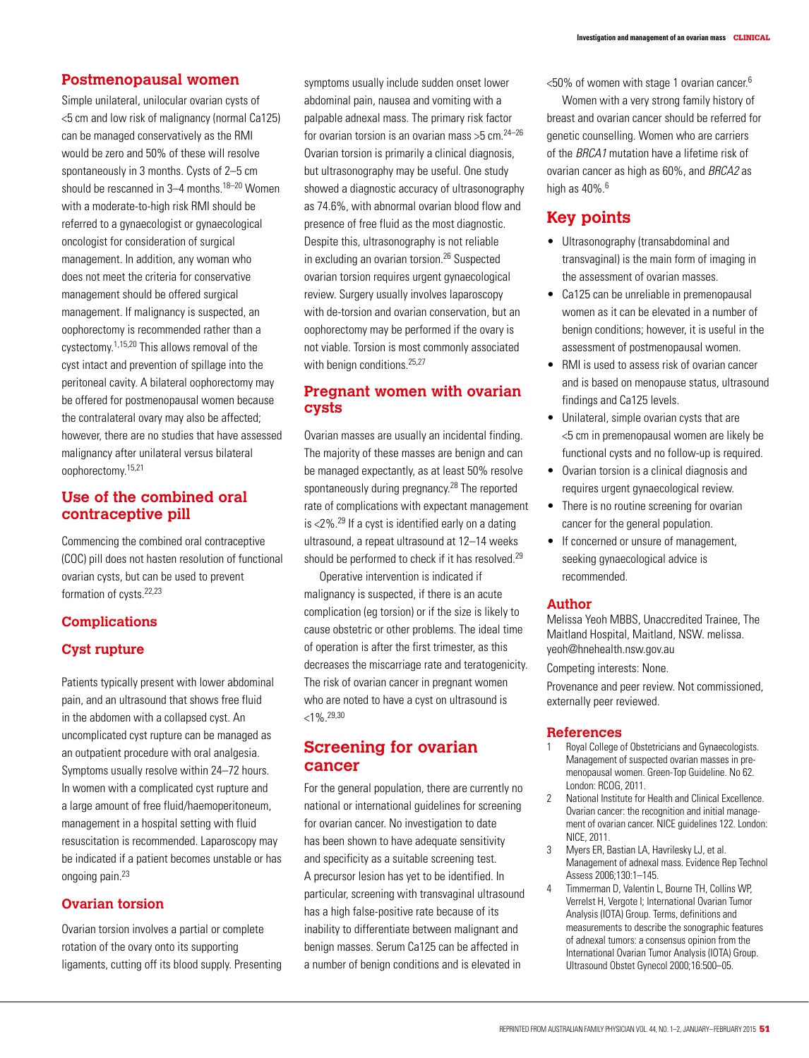#### **Postmenopausal women**

Simple unilateral, unilocular ovarian cysts of <5 cm and low risk of malignancy (normal Ca125) can be managed conservatively as the RMI would be zero and 50% of these will resolve spontaneously in 3 months. Cysts of 2–5 cm should be rescanned in  $3-4$  months  $18-20$  Women with a moderate-to-high risk RMI should be referred to a gynaecologist or gynaecological oncologist for consideration of surgical management. In addition, any woman who does not meet the criteria for conservative management should be offered surgical management. If malignancy is suspected, an oophorectomy is recommended rather than a cystectomy.1,15,20 This allows removal of the cyst intact and prevention of spillage into the peritoneal cavity. A bilateral oophorectomy may be offered for postmenopausal women because the contralateral ovary may also be affected; however, there are no studies that have assessed malignancy after unilateral versus bilateral oophorectomy.15,21

## **Use of the combined oral contraceptive pill**

Commencing the combined oral contraceptive (COC) pill does not hasten resolution of functional ovarian cysts, but can be used to prevent formation of cysts.<sup>22,23</sup>

#### **Complications**

#### **Cyst rupture**

Patients typically present with lower abdominal pain, and an ultrasound that shows free fluid in the abdomen with a collapsed cyst. An uncomplicated cyst rupture can be managed as an outpatient procedure with oral analgesia. Symptoms usually resolve within 24–72 hours. In women with a complicated cyst rupture and a large amount of free fluid/haemoperitoneum, management in a hospital setting with fluid resuscitation is recommended. Laparoscopy may be indicated if a patient becomes unstable or has ongoing pain.23

## **Ovarian torsion**

Ovarian torsion involves a partial or complete rotation of the ovary onto its supporting ligaments, cutting off its blood supply. Presenting

symptoms usually include sudden onset lower abdominal pain, nausea and vomiting with a palpable adnexal mass. The primary risk factor for ovarian torsion is an ovarian mass  $>5$  cm.<sup>24–26</sup> Ovarian torsion is primarily a clinical diagnosis, but ultrasonography may be useful. One study showed a diagnostic accuracy of ultrasonography as 74.6%, with abnormal ovarian blood flow and presence of free fluid as the most diagnostic. Despite this, ultrasonography is not reliable in excluding an ovarian torsion.26 Suspected ovarian torsion requires urgent gynaecological review. Surgery usually involves laparoscopy with de-torsion and ovarian conservation, but an oophorectomy may be performed if the ovary is not viable. Torsion is most commonly associated with benign conditions.<sup>25,27</sup>

## **Pregnant women with ovarian cysts**

Ovarian masses are usually an incidental finding. The majority of these masses are benign and can be managed expectantly, as at least 50% resolve spontaneously during pregnancy.<sup>28</sup> The reported rate of complications with expectant management is  $<2\%$ .<sup>29</sup> If a cyst is identified early on a dating ultrasound, a repeat ultrasound at 12–14 weeks should be performed to check if it has resolved.<sup>29</sup>

Operative intervention is indicated if malignancy is suspected, if there is an acute complication (eg torsion) or if the size is likely to cause obstetric or other problems. The ideal time of operation is after the first trimester, as this decreases the miscarriage rate and teratogenicity. The risk of ovarian cancer in pregnant women who are noted to have a cyst on ultrasound is  $< 1\%$  29,30

## **Screening for ovarian cancer**

For the general population, there are currently no national or international guidelines for screening for ovarian cancer. No investigation to date has been shown to have adequate sensitivity and specificity as a suitable screening test. A precursor lesion has yet to be identified. In particular, screening with transvaginal ultrasound has a high false-positive rate because of its inability to differentiate between malignant and benign masses. Serum Ca125 can be affected in a number of benign conditions and is elevated in

 $<$ 50% of women with stage 1 ovarian cancer. $6$ 

Women with a very strong family history of breast and ovarian cancer should be referred for genetic counselling. Women who are carriers of the BRCA1 mutation have a lifetime risk of ovarian cancer as high as 60%, and BRCA2 as high as  $40\%$ <sup>6</sup>

## **Key points**

- Ultrasonography (transabdominal and transvaginal) is the main form of imaging in the assessment of ovarian masses.
- Ca125 can be unreliable in premenopausal women as it can be elevated in a number of benign conditions; however, it is useful in the assessment of postmenopausal women.
- RMI is used to assess risk of ovarian cancer and is based on menopause status, ultrasound findings and Ca125 levels.
- Unilateral, simple ovarian cysts that are <5 cm in premenopausal women are likely be functional cysts and no follow-up is required.
- Ovarian torsion is a clinical diagnosis and requires urgent gynaecological review.
- There is no routine screening for ovarian cancer for the general population.
- If concerned or unsure of management, seeking gynaecological advice is recommended.

#### **Author**

Melissa Yeoh MBBS, Unaccredited Trainee, The Maitland Hospital, Maitland, NSW. melissa. yeoh@hnehealth.nsw.gov.au

Competing interests: None.

Provenance and peer review. Not commissioned, externally peer reviewed.

#### **References**

- Royal College of Obstetricians and Gynaecologists. Management of suspected ovarian masses in premenopausal women. Green-Top Guideline. No 62. London: RCOG, 2011.
- 2 National Institute for Health and Clinical Excellence. Ovarian cancer: the recognition and initial management of ovarian cancer. NICE guidelines 122. London: NICE, 2011.
- 3 Myers ER, Bastian LA, Havrilesky LJ, et al. Management of adnexal mass. Evidence Rep Technol Assess 2006;130:1–145.
- 4 Timmerman D, Valentin L, Bourne TH, Collins WP, Verrelst H, Vergote I; International Ovarian Tumor Analysis (IOTA) Group. Terms, definitions and measurements to describe the sonographic features of adnexal tumors: a consensus opinion from the International Ovarian Tumor Analysis (IOTA) Group. Ultrasound Obstet Gynecol 2000;16:500–05.